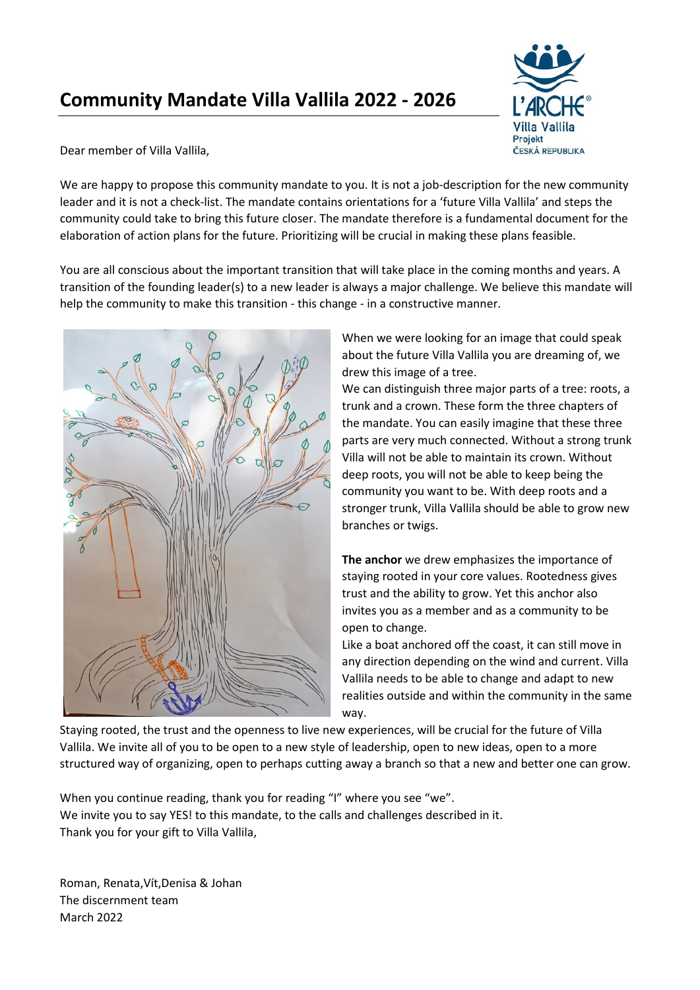## **Community Mandate Villa Vallila 2022 - 2026**



Dear member of Villa Vallila,

We are happy to propose this community mandate to you. It is not a job-description for the new community leader and it is not a check-list. The mandate contains orientations for a 'future Villa Vallila' and steps the community could take to bring this future closer. The mandate therefore is a fundamental document for the elaboration of action plans for the future. Prioritizing will be crucial in making these plans feasible.

You are all conscious about the important transition that will take place in the coming months and years. A transition of the founding leader(s) to a new leader is always a major challenge. We believe this mandate will help the community to make this transition - this change - in a constructive manner.



When we were looking for an image that could speak about the future Villa Vallila you are dreaming of, we drew this image of a tree.

We can distinguish three major parts of a tree: roots, a trunk and a crown. These form the three chapters of the mandate. You can easily imagine that these three parts are very much connected. Without a strong trunk Villa will not be able to maintain its crown. Without deep roots, you will not be able to keep being the community you want to be. With deep roots and a stronger trunk, Villa Vallila should be able to grow new branches or twigs.

**The anchor** we drew emphasizes the importance of staying rooted in your core values. Rootedness gives trust and the ability to grow. Yet this anchor also invites you as a member and as a community to be open to change.

Like a boat anchored off the coast, it can still move in any direction depending on the wind and current. Villa Vallila needs to be able to change and adapt to new realities outside and within the community in the same way.

Staying rooted, the trust and the openness to live new experiences, will be crucial for the future of Villa Vallila. We invite all of you to be open to a new style of leadership, open to new ideas, open to a more structured way of organizing, open to perhaps cutting away a branch so that a new and better one can grow.

When you continue reading, thank you for reading "I" where you see "we". We invite you to say YES! to this mandate, to the calls and challenges described in it. Thank you for your gift to Villa Vallila,

Roman, Renata,Vít,Denisa & Johan The discernment team March 2022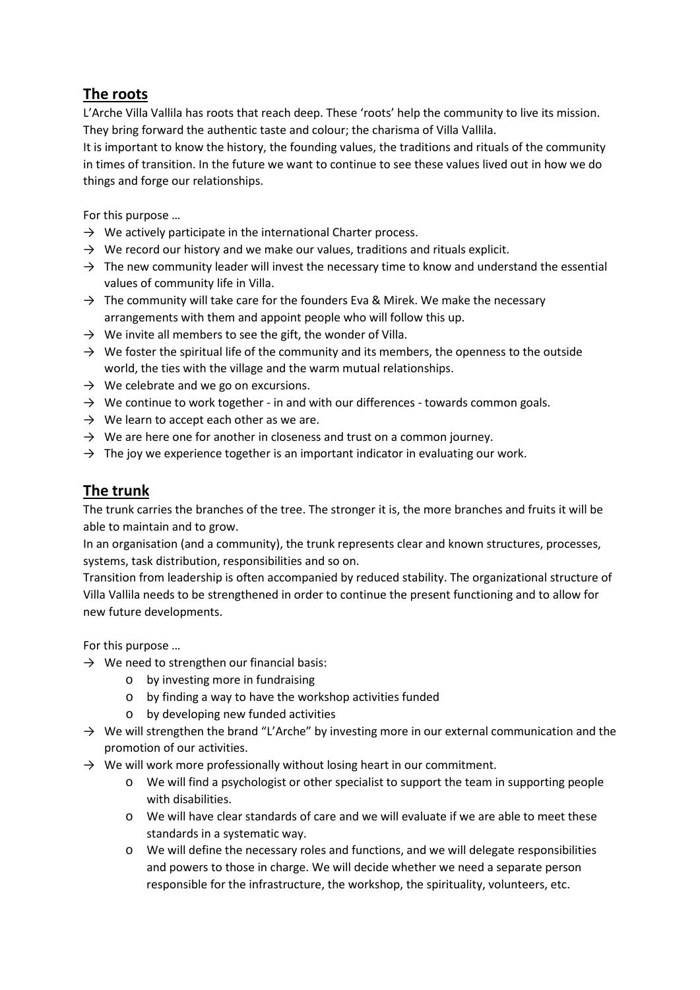## **The roots**

L'Arche Villa Vallila has roots that reach deep. These 'roots' help the community to live its mission. They bring forward the authentic taste and colour; the charisma of Villa Vallila.

It is important to know the history, the founding values, the traditions and rituals of the community in times of transition. In the future we want to continue to see these values lived out in how we do things and forge our relationships.

For this purpose …

- $\rightarrow$  We actively participate in the international Charter process.
- $\rightarrow$  We record our history and we make our values, traditions and rituals explicit.
- $\rightarrow$  The new community leader will invest the necessary time to know and understand the essential values of community life in Villa.
- $\rightarrow$  The community will take care for the founders Eva & Mirek. We make the necessary arrangements with them and appoint people who will follow this up.
- $\rightarrow$  We invite all members to see the gift, the wonder of Villa.
- $\rightarrow$  We foster the spiritual life of the community and its members, the openness to the outside world, the ties with the village and the warm mutual relationships.
- $\rightarrow$  We celebrate and we go on excursions.
- $\rightarrow$  We continue to work together in and with our differences towards common goals.
- $\rightarrow$  We learn to accept each other as we are.
- $\rightarrow$  We are here one for another in closeness and trust on a common journey.
- $\rightarrow$  The joy we experience together is an important indicator in evaluating our work.

## **The trunk**

The trunk carries the branches of the tree. The stronger it is, the more branches and fruits it will be able to maintain and to grow.

In an organisation (and a community), the trunk represents clear and known structures, processes, systems, task distribution, responsibilities and so on.

Transition from leadership is often accompanied by reduced stability. The organizational structure of Villa Vallila needs to be strengthened in order to continue the present functioning and to allow for new future developments.

For this purpose …

- $\rightarrow$  We need to strengthen our financial basis:
	- o by investing more in fundraising
	- o by finding a way to have the workshop activities funded
	- o by developing new funded activities
- $\rightarrow$  We will strengthen the brand "L'Arche" by investing more in our external communication and the promotion of our activities.
- $\rightarrow$  We will work more professionally without losing heart in our commitment.
	- o We will find a psychologist or other specialist to support the team in supporting people with disabilities.
	- o We will have clear standards of care and we will evaluate if we are able to meet these standards in a systematic way.
	- o We will define the necessary roles and functions, and we will delegate responsibilities and powers to those in charge. We will decide whether we need a separate person responsible for the infrastructure, the workshop, the spirituality, volunteers, etc.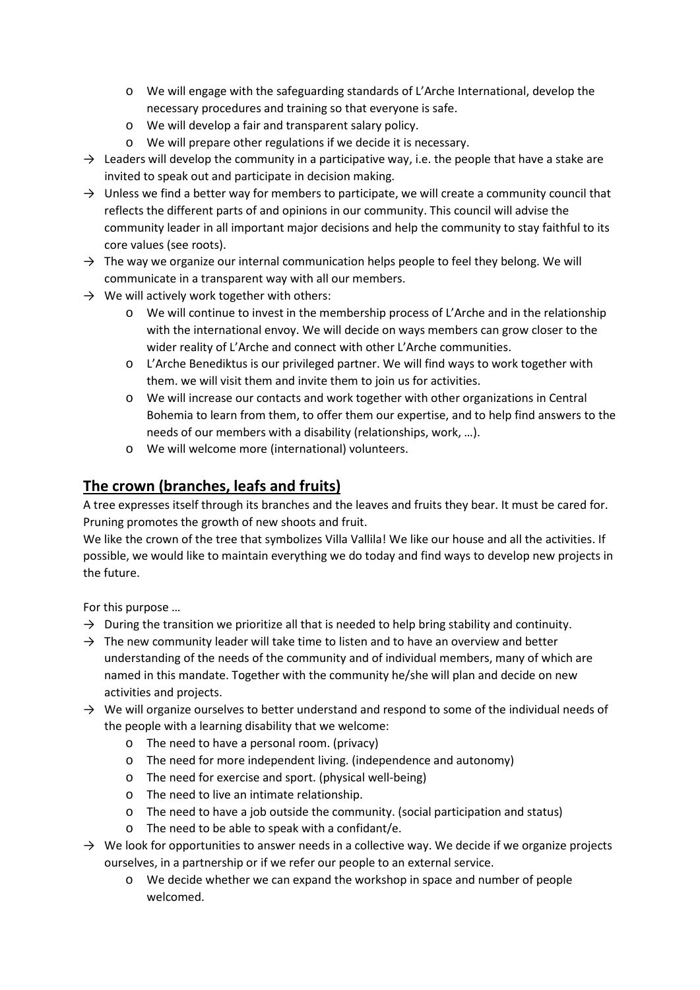- o We will engage with the safeguarding standards of L'Arche International, develop the necessary procedures and training so that everyone is safe.
- o We will develop a fair and transparent salary policy.
- o We will prepare other regulations if we decide it is necessary.
- $\rightarrow$  Leaders will develop the community in a participative way, i.e. the people that have a stake are invited to speak out and participate in decision making.
- $\rightarrow$  Unless we find a better way for members to participate, we will create a community council that reflects the different parts of and opinions in our community. This council will advise the community leader in all important major decisions and help the community to stay faithful to its core values (see roots).
- $\rightarrow$  The way we organize our internal communication helps people to feel they belong. We will communicate in a transparent way with all our members.
- $\rightarrow$  We will actively work together with others:
	- o We will continue to invest in the membership process of L'Arche and in the relationship with the international envoy. We will decide on ways members can grow closer to the wider reality of L'Arche and connect with other L'Arche communities.
	- o L'Arche Benediktus is our privileged partner. We will find ways to work together with them. we will visit them and invite them to join us for activities.
	- o We will increase our contacts and work together with other organizations in Central Bohemia to learn from them, to offer them our expertise, and to help find answers to the needs of our members with a disability (relationships, work, …).
	- o We will welcome more (international) volunteers.

## **The crown (branches, leafs and fruits)**

A tree expresses itself through its branches and the leaves and fruits they bear. It must be cared for. Pruning promotes the growth of new shoots and fruit.

We like the crown of the tree that symbolizes Villa Vallila! We like our house and all the activities. If possible, we would like to maintain everything we do today and find ways to develop new projects in the future.

For this purpose …

- $\rightarrow$  During the transition we prioritize all that is needed to help bring stability and continuity.
- $\rightarrow$  The new community leader will take time to listen and to have an overview and better understanding of the needs of the community and of individual members, many of which are named in this mandate. Together with the community he/she will plan and decide on new activities and projects.
- $\rightarrow$  We will organize ourselves to better understand and respond to some of the individual needs of the people with a learning disability that we welcome:
	- o The need to have a personal room. (privacy)
	- o The need for more independent living. (independence and autonomy)
	- o The need for exercise and sport. (physical well-being)
	- o The need to live an intimate relationship.
	- o The need to have a job outside the community. (social participation and status)
	- o The need to be able to speak with a confidant/e.
- $\rightarrow$  We look for opportunities to answer needs in a collective way. We decide if we organize projects ourselves, in a partnership or if we refer our people to an external service.
	- o We decide whether we can expand the workshop in space and number of people welcomed.